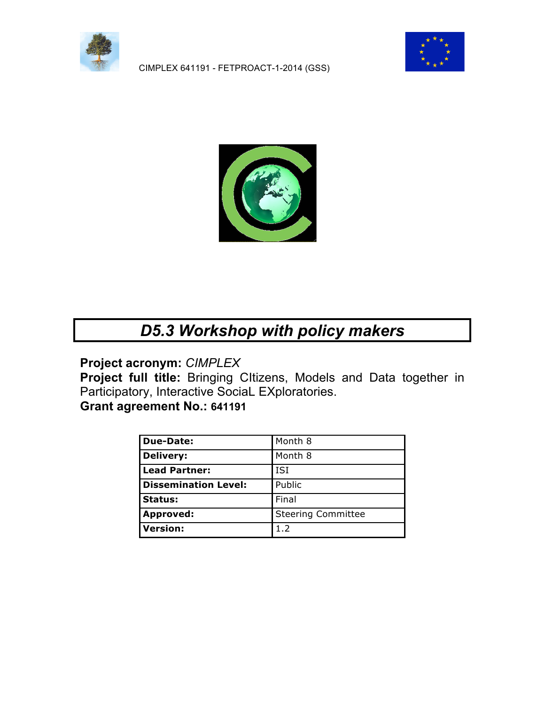

CIMPLEX 641191 - FETPROACT-1-2014 (GSS)





## *D5.3 Workshop with policy makers*

### **Project acronym:** *CIMPLEX*

**Project full title:** Bringing CItizens, Models and Data together in Participatory, Interactive SociaL EXploratories.

### **Grant agreement No.: 641191**

| <b>Due-Date:</b>            | Month 8                   |
|-----------------------------|---------------------------|
| <b>Delivery:</b>            | Month 8                   |
| <b>Lead Partner:</b>        | ISI                       |
| <b>Dissemination Level:</b> | Public                    |
| <b>Status:</b>              | Final                     |
| Approved:                   | <b>Steering Committee</b> |
| Version:                    | 1.2                       |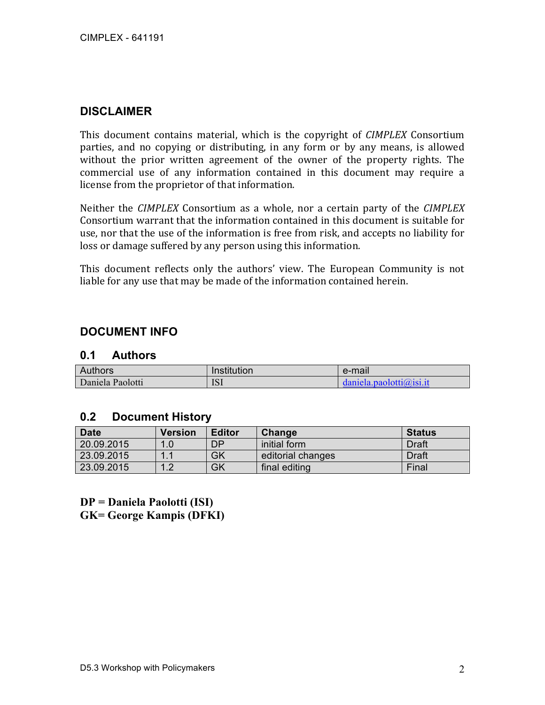### **DISCLAIMER**

This document contains material, which is the copyright of *CIMPLEX* Consortium parties, and no copying or distributing, in any form or by any means, is allowed without the prior written agreement of the owner of the property rights. The commercial use of any information contained in this document may require a license from the proprietor of that information.

Neither the *CIMPLEX* Consortium as a whole, nor a certain party of the *CIMPLEX* Consortium warrant that the information contained in this document is suitable for use, nor that the use of the information is free from risk, and accepts no liability for loss or damage suffered by any person using this information.

This document reflects only the authors' view. The European Community is not liable for any use that may be made of the information contained herein.

### **DOCUMENT INFO**

#### **0.1 Authors**

| Authors          | Institution | e-mail                  |
|------------------|-------------|-------------------------|
| Daniela Paolotti | ISI         | daniela.paolotti@isi.it |

#### **0.2 Document History**

| <b>Date</b> | <b>Version</b>           | <b>Editor</b> | Change            | <b>Status</b> |
|-------------|--------------------------|---------------|-------------------|---------------|
| 20.09.2015  | 1.0                      | DP            | initial form      | <b>Draft</b>  |
| 23.09.2015  |                          | GK            | editorial changes | <b>Draft</b>  |
| 23.09.2015  | $\overline{\phantom{a}}$ | GK            | final editing     | Final         |

**DP = Daniela Paolotti (ISI) GK= George Kampis (DFKI)**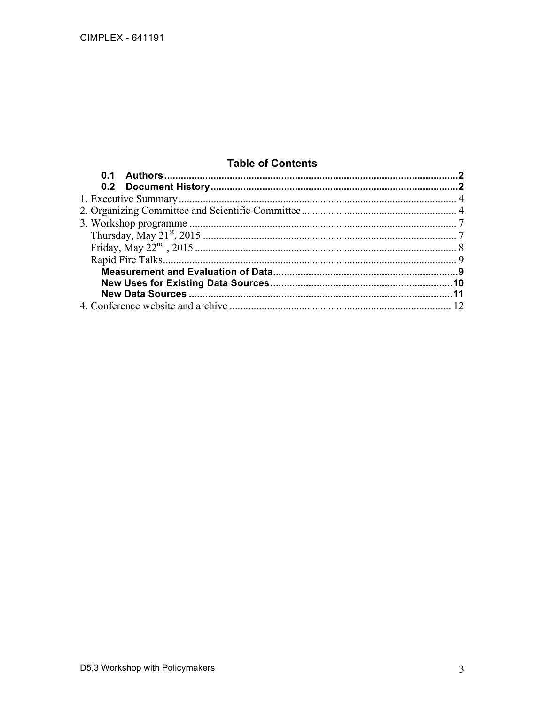### **Table of Contents**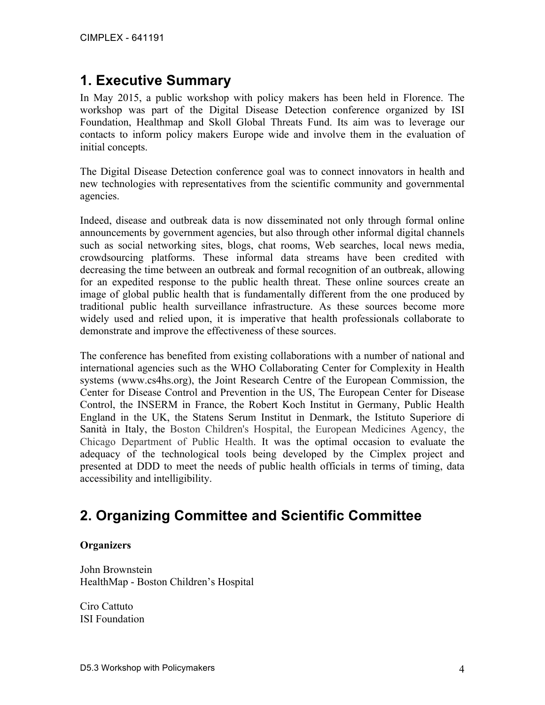## **1. Executive Summary**

In May 2015, a public workshop with policy makers has been held in Florence. The workshop was part of the Digital Disease Detection conference organized by ISI Foundation, Healthmap and Skoll Global Threats Fund. Its aim was to leverage our contacts to inform policy makers Europe wide and involve them in the evaluation of initial concepts.

The Digital Disease Detection conference goal was to connect innovators in health and new technologies with representatives from the scientific community and governmental agencies.

Indeed, disease and outbreak data is now disseminated not only through formal online announcements by government agencies, but also through other informal digital channels such as social networking sites, blogs, chat rooms, Web searches, local news media, crowdsourcing platforms. These informal data streams have been credited with decreasing the time between an outbreak and formal recognition of an outbreak, allowing for an expedited response to the public health threat. These online sources create an image of global public health that is fundamentally different from the one produced by traditional public health surveillance infrastructure. As these sources become more widely used and relied upon, it is imperative that health professionals collaborate to demonstrate and improve the effectiveness of these sources.

The conference has benefited from existing collaborations with a number of national and international agencies such as the WHO Collaborating Center for Complexity in Health systems (www.cs4hs.org), the Joint Research Centre of the European Commission, the Center for Disease Control and Prevention in the US, The European Center for Disease Control, the INSERM in France, the Robert Koch Institut in Germany, Public Health England in the UK, the Statens Serum Institut in Denmark, the Istituto Superiore di Sanità in Italy, the Boston Children's Hospital, the European Medicines Agency, the Chicago Department of Public Health. It was the optimal occasion to evaluate the adequacy of the technological tools being developed by the Cimplex project and presented at DDD to meet the needs of public health officials in terms of timing, data accessibility and intelligibility.

## **2. Organizing Committee and Scientific Committee**

#### **Organizers**

John Brownstein HealthMap - Boston Children's Hospital

Ciro Cattuto ISI Foundation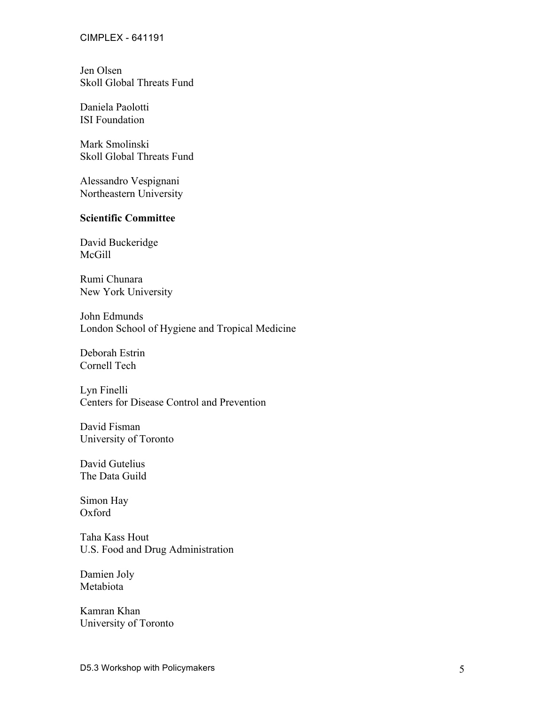Jen Olsen Skoll Global Threats Fund

Daniela Paolotti ISI Foundation

Mark Smolinski Skoll Global Threats Fund

Alessandro Vespignani Northeastern University

#### **Scientific Committee**

David Buckeridge McGill

Rumi Chunara New York University

John Edmunds London School of Hygiene and Tropical Medicine

Deborah Estrin Cornell Tech

Lyn Finelli Centers for Disease Control and Prevention

David Fisman University of Toronto

David Gutelius The Data Guild

Simon Hay Oxford

Taha Kass Hout U.S. Food and Drug Administration

Damien Joly Metabiota

Kamran Khan University of Toronto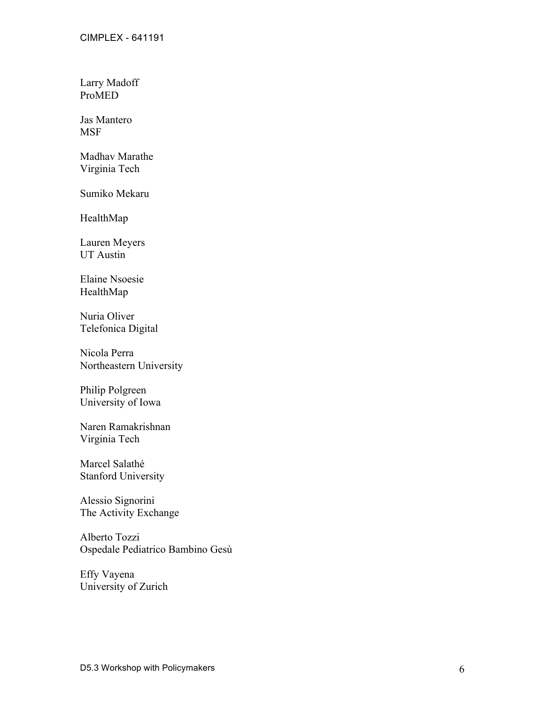Larry Madoff ProMED

Jas Mantero MSF

Madhav Marathe Virginia Tech

Sumiko Mekaru

HealthMap

Lauren Meyers UT Austin

Elaine Nsoesie HealthMap

Nuria Oliver Telefonica Digital

Nicola Perra Northeastern University

Philip Polgreen University of Iowa

Naren Ramakrishnan Virginia Tech

Marcel Salathé Stanford University

Alessio Signorini The Activity Exchange

Alberto Tozzi Ospedale Pediatrico Bambino Gesù

Effy Vayena University of Zurich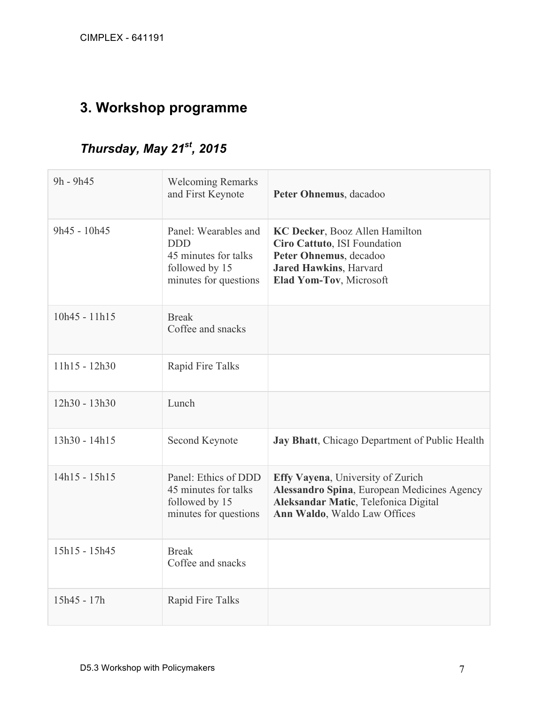## **3. Workshop programme**

## *Thursday, May 21st, 2015*

| 9h - 9h45     | <b>Welcoming Remarks</b><br>and First Keynote                                                         | Peter Ohnemus, dacadoo                                                                                                                                   |
|---------------|-------------------------------------------------------------------------------------------------------|----------------------------------------------------------------------------------------------------------------------------------------------------------|
| 9h45 - 10h45  | Panel: Wearables and<br><b>DDD</b><br>45 minutes for talks<br>followed by 15<br>minutes for questions | KC Decker, Booz Allen Hamilton<br>Ciro Cattuto, ISI Foundation<br>Peter Ohnemus, decadoo<br><b>Jared Hawkins</b> , Harvard<br>Elad Yom-Tov, Microsoft    |
| 10h45 - 11h15 | <b>Break</b><br>Coffee and snacks                                                                     |                                                                                                                                                          |
| 11h15 - 12h30 | Rapid Fire Talks                                                                                      |                                                                                                                                                          |
| 12h30 - 13h30 | Lunch                                                                                                 |                                                                                                                                                          |
| 13h30 - 14h15 | Second Keynote                                                                                        | Jay Bhatt, Chicago Department of Public Health                                                                                                           |
| 14h15 - 15h15 | Panel: Ethics of DDD<br>45 minutes for talks<br>followed by 15<br>minutes for questions               | Effy Vayena, University of Zurich<br>Alessandro Spina, European Medicines Agency<br>Aleksandar Matic, Telefonica Digital<br>Ann Waldo, Waldo Law Offices |
| 15h15 - 15h45 | <b>Break</b><br>Coffee and snacks                                                                     |                                                                                                                                                          |
| 15h45 - 17h   | Rapid Fire Talks                                                                                      |                                                                                                                                                          |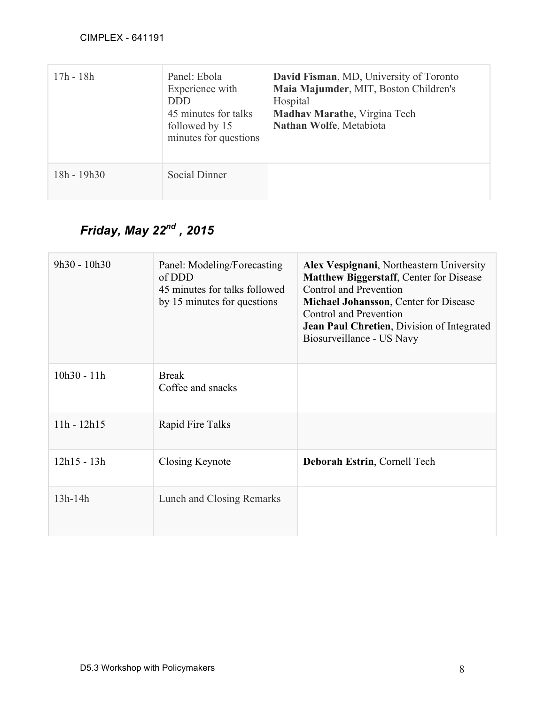| $17h - 18h$ | Panel: Ebola<br>Experience with<br><b>DDD</b><br>45 minutes for talks<br>followed by 15<br>minutes for questions | David Fisman, MD, University of Toronto<br>Maia Majumder, MIT, Boston Children's<br>Hospital<br>Madhav Marathe, Virgina Tech<br>Nathan Wolfe, Metabiota |
|-------------|------------------------------------------------------------------------------------------------------------------|---------------------------------------------------------------------------------------------------------------------------------------------------------|
| 18h - 19h30 | Social Dinner                                                                                                    |                                                                                                                                                         |

# *Friday, May 22nd , 2015*

| $9h30 - 10h30$ | Panel: Modeling/Forecasting<br>of DDD<br>45 minutes for talks followed<br>by 15 minutes for questions | Alex Vespignani, Northeastern University<br><b>Matthew Biggerstaff, Center for Disease</b><br>Control and Prevention<br><b>Michael Johansson, Center for Disease</b><br>Control and Prevention<br><b>Jean Paul Chretien, Division of Integrated</b><br>Biosurveillance - US Navy |
|----------------|-------------------------------------------------------------------------------------------------------|----------------------------------------------------------------------------------------------------------------------------------------------------------------------------------------------------------------------------------------------------------------------------------|
| $10h30 - 11h$  | <b>Break</b><br>Coffee and snacks                                                                     |                                                                                                                                                                                                                                                                                  |
| $11h - 12h15$  | Rapid Fire Talks                                                                                      |                                                                                                                                                                                                                                                                                  |
| 12h15 - 13h    | Closing Keynote                                                                                       | Deborah Estrin, Cornell Tech                                                                                                                                                                                                                                                     |
| 13h-14h        | Lunch and Closing Remarks                                                                             |                                                                                                                                                                                                                                                                                  |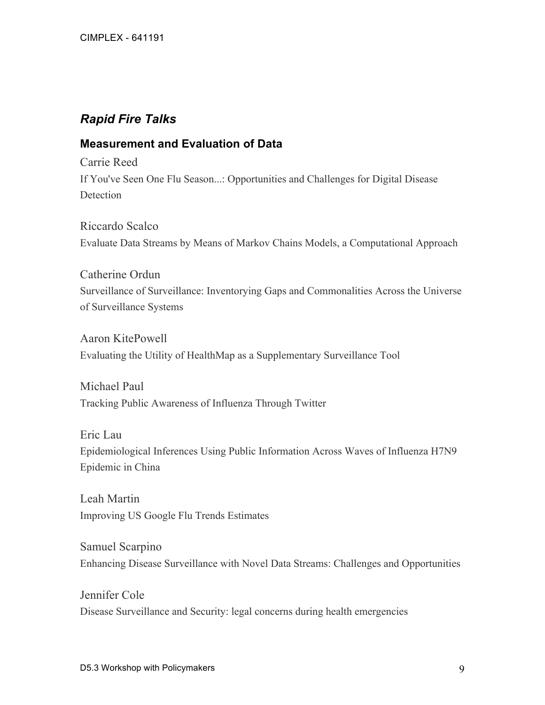### *Rapid Fire Talks*

### **Measurement and Evaluation of Data**

Carrie Reed If You've Seen One Flu Season...: Opportunities and Challenges for Digital Disease **Detection** 

Riccardo Scalco Evaluate Data Streams by Means of Markov Chains Models, a Computational Approach

Catherine Ordun Surveillance of Surveillance: Inventorying Gaps and Commonalities Across the Universe of Surveillance Systems

Aaron KitePowell Evaluating the Utility of HealthMap as a Supplementary Surveillance Tool

Michael Paul Tracking Public Awareness of Influenza Through Twitter

Eric Lau Epidemiological Inferences Using Public Information Across Waves of Influenza H7N9 Epidemic in China

Leah Martin Improving US Google Flu Trends Estimates

Samuel Scarpino Enhancing Disease Surveillance with Novel Data Streams: Challenges and Opportunities

Jennifer Cole Disease Surveillance and Security: legal concerns during health emergencies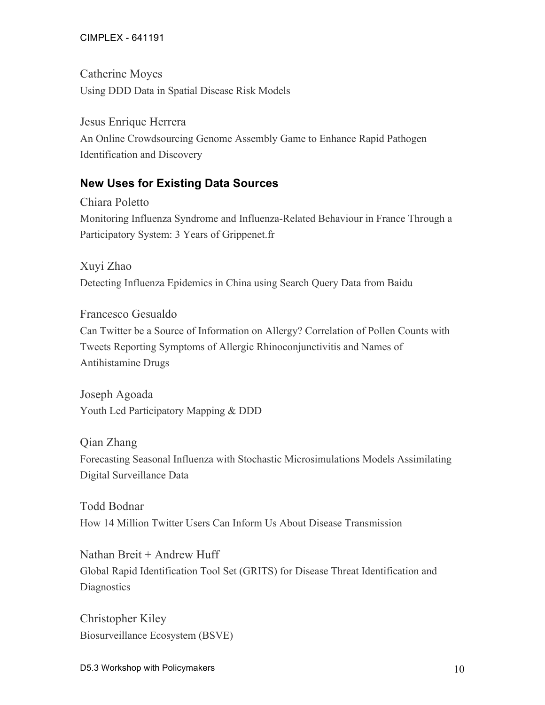### CIMPLEX - 641191

Catherine Moyes Using DDD Data in Spatial Disease Risk Models

Jesus Enrique Herrera An Online Crowdsourcing Genome Assembly Game to Enhance Rapid Pathogen Identification and Discovery

### **New Uses for Existing Data Sources**

Chiara Poletto Monitoring Influenza Syndrome and Influenza-Related Behaviour in France Through a Participatory System: 3 Years of Grippenet.fr

Xuyi Zhao Detecting Influenza Epidemics in China using Search Query Data from Baidu

Francesco Gesualdo Can Twitter be a Source of Information on Allergy? Correlation of Pollen Counts with Tweets Reporting Symptoms of Allergic Rhinoconjunctivitis and Names of Antihistamine Drugs

Joseph Agoada Youth Led Participatory Mapping & DDD

Qian Zhang Forecasting Seasonal Influenza with Stochastic Microsimulations Models Assimilating Digital Surveillance Data

Todd Bodnar How 14 Million Twitter Users Can Inform Us About Disease Transmission

Nathan Breit + Andrew Huff Global Rapid Identification Tool Set (GRITS) for Disease Threat Identification and **Diagnostics** 

Christopher Kiley Biosurveillance Ecosystem (BSVE)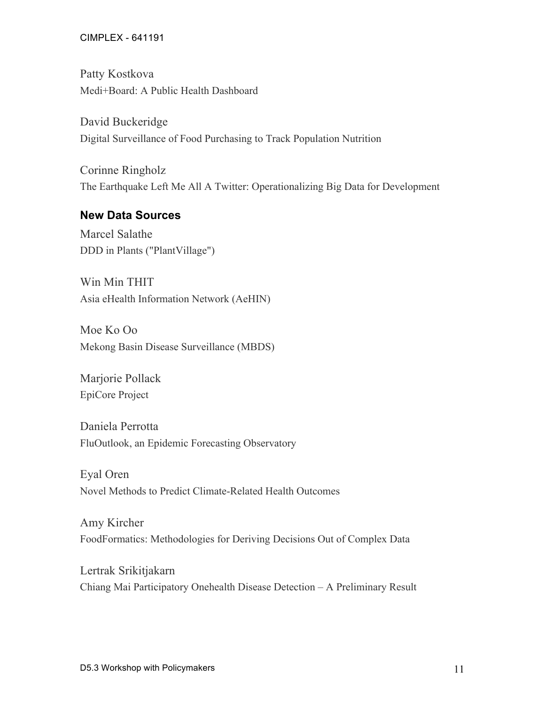#### CIMPLEX - 641191

Patty Kostkova Medi+Board: A Public Health Dashboard

David Buckeridge Digital Surveillance of Food Purchasing to Track Population Nutrition

Corinne Ringholz The Earthquake Left Me All A Twitter: Operationalizing Big Data for Development

### **New Data Sources**

Marcel Salathe DDD in Plants ("PlantVillage")

Win Min THIT Asia eHealth Information Network (AeHIN)

Moe Ko Oo Mekong Basin Disease Surveillance (MBDS)

Marjorie Pollack EpiCore Project

Daniela Perrotta FluOutlook, an Epidemic Forecasting Observatory

Eyal Oren Novel Methods to Predict Climate-Related Health Outcomes

Amy Kircher FoodFormatics: Methodologies for Deriving Decisions Out of Complex Data

Lertrak Srikitjakarn Chiang Mai Participatory Onehealth Disease Detection – A Preliminary Result